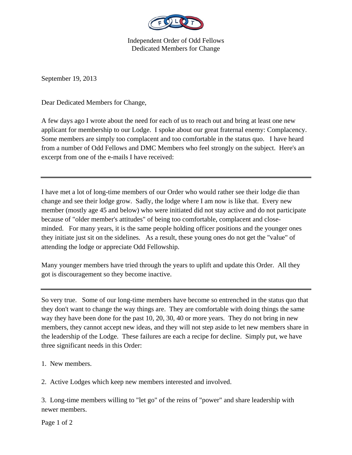

Independent Order of Odd Fellows Dedicated Members for Change

September 19, 2013

Dear Dedicated Members for Change,

A few days ago I wrote about the need for each of us to reach out and bring at least one new applicant for membership to our Lodge. I spoke about our great fraternal enemy: Complacency. Some members are simply too complacent and too comfortable in the status quo. I have heard from a number of Odd Fellows and DMC Members who feel strongly on the subject. Here's an excerpt from one of the e-mails I have received:

I have met a lot of long-time members of our Order who would rather see their lodge die than change and see their lodge grow. Sadly, the lodge where I am now is like that. Every new member (mostly age 45 and below) who were initiated did not stay active and do not participate because of "older member's attitudes" of being too comfortable, complacent and closeminded. For many years, it is the same people holding officer positions and the younger ones they initiate just sit on the sidelines. As a result, these young ones do not get the "value" of attending the lodge or appreciate Odd Fellowship.

Many younger members have tried through the years to uplift and update this Order. All they got is discouragement so they become inactive.

So very true. Some of our long-time members have become so entrenched in the status quo that they don't want to change the way things are. They are comfortable with doing things the same way they have been done for the past 10, 20, 30, 40 or more years. They do not bring in new members, they cannot accept new ideas, and they will not step aside to let new members share in the leadership of the Lodge. These failures are each a recipe for decline. Simply put, we have three significant needs in this Order:

1. New members.

2. Active Lodges which keep new members interested and involved.

3. Long-time members willing to "let go" of the reins of "power" and share leadership with newer members.

Page 1 of 2